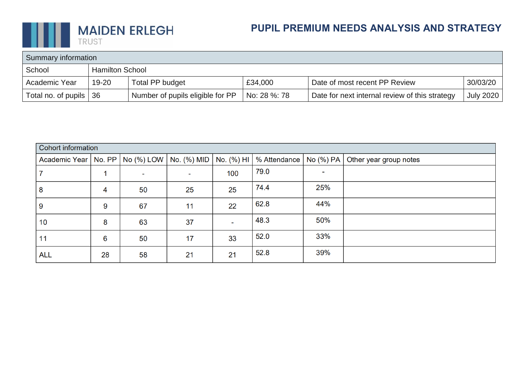

# **PUPIL PREMIUM NEEDS ANALYSIS AND STRATEGY**

| Summary information |                        |                                  |              |                                                |           |  |
|---------------------|------------------------|----------------------------------|--------------|------------------------------------------------|-----------|--|
| School              | <b>Hamilton School</b> |                                  |              |                                                |           |  |
| Academic Year       | 19-20                  | Total PP budget                  | £34,000      | Date of most recent PP Review                  | 30/03/20  |  |
| Total no. of pupils | 36                     | Number of pupils eligible for PP | No: 28 %: 78 | Date for next internal review of this strategy | July 2020 |  |

| Cohort information                                |    |                          |    |            |              |           |                        |  |
|---------------------------------------------------|----|--------------------------|----|------------|--------------|-----------|------------------------|--|
| Academic Year   No. PP   No (%) LOW   No. (%) MID |    |                          |    | No. (%) HI | % Attendance | No (%) PA | Other year group notes |  |
|                                                   |    | $\overline{\phantom{0}}$ |    | 100        | 79.0         |           |                        |  |
| 8                                                 | 4  | 50                       | 25 | 25         | 74.4         | 25%       |                        |  |
| 9                                                 | 9  | 67                       | 11 | 22         | 62.8         | 44%       |                        |  |
| 10                                                | 8  | 63                       | 37 |            | 48.3         | 50%       |                        |  |
| 11                                                | 6  | 50                       | 17 | 33         | 52.0         | 33%       |                        |  |
| <b>ALL</b>                                        | 28 | 58                       | 21 | 21         | 52.8         | 39%       |                        |  |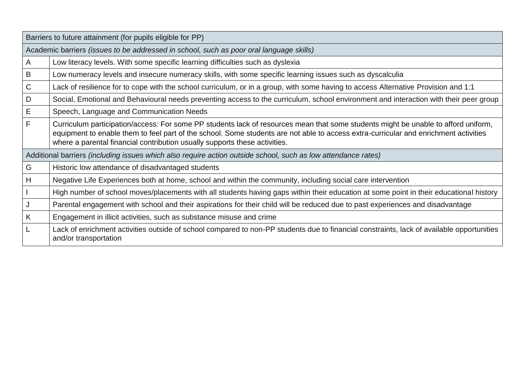|   | Barriers to future attainment (for pupils eligible for PP)                                                                                                                                                                                                                                                                                               |  |  |  |  |  |  |
|---|----------------------------------------------------------------------------------------------------------------------------------------------------------------------------------------------------------------------------------------------------------------------------------------------------------------------------------------------------------|--|--|--|--|--|--|
|   | Academic barriers (issues to be addressed in school, such as poor oral language skills)                                                                                                                                                                                                                                                                  |  |  |  |  |  |  |
| A | Low literacy levels. With some specific learning difficulties such as dyslexia                                                                                                                                                                                                                                                                           |  |  |  |  |  |  |
| B | Low numeracy levels and insecure numeracy skills, with some specific learning issues such as dyscalculia                                                                                                                                                                                                                                                 |  |  |  |  |  |  |
| C | Lack of resilience for to cope with the school curriculum, or in a group, with some having to access Alternative Provision and 1:1                                                                                                                                                                                                                       |  |  |  |  |  |  |
| D | Social, Emotional and Behavioural needs preventing access to the curriculum, school environment and interaction with their peer group                                                                                                                                                                                                                    |  |  |  |  |  |  |
| Е | Speech, Language and Communication Needs                                                                                                                                                                                                                                                                                                                 |  |  |  |  |  |  |
| F | Curriculum participation/access: For some PP students lack of resources mean that some students might be unable to afford uniform,<br>equipment to enable them to feel part of the school. Some students are not able to access extra-curricular and enrichment activities<br>where a parental financial contribution usually supports these activities. |  |  |  |  |  |  |
|   | Additional barriers (including issues which also require action outside school, such as low attendance rates)                                                                                                                                                                                                                                            |  |  |  |  |  |  |
| G | Historic low attendance of disadvantaged students                                                                                                                                                                                                                                                                                                        |  |  |  |  |  |  |
| H | Negative Life Experiences both at home, school and within the community, including social care intervention                                                                                                                                                                                                                                              |  |  |  |  |  |  |
|   | High number of school moves/placements with all students having gaps within their education at some point in their educational history                                                                                                                                                                                                                   |  |  |  |  |  |  |
| J | Parental engagement with school and their aspirations for their child will be reduced due to past experiences and disadvantage                                                                                                                                                                                                                           |  |  |  |  |  |  |
| K | Engagement in illicit activities, such as substance misuse and crime                                                                                                                                                                                                                                                                                     |  |  |  |  |  |  |
|   | Lack of enrichment activities outside of school compared to non-PP students due to financial constraints, lack of available opportunities<br>and/or transportation                                                                                                                                                                                       |  |  |  |  |  |  |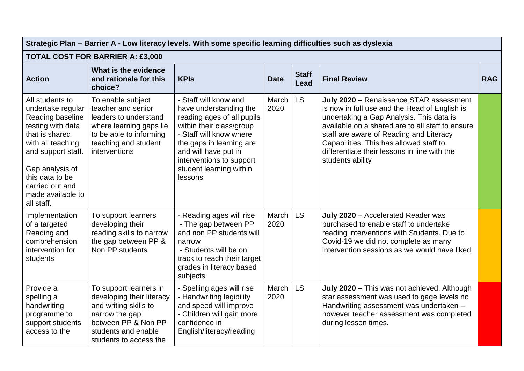| Strategic Plan – Barrier A - Low literacy levels. With some specific learning difficulties such as dyslexia                                                                                                                            |                                                                                                                                                                        |                                                                                                                                                                                                                                                            |               |                             |                                                                                                                                                                                                                                                                                                                                                    |            |  |  |
|----------------------------------------------------------------------------------------------------------------------------------------------------------------------------------------------------------------------------------------|------------------------------------------------------------------------------------------------------------------------------------------------------------------------|------------------------------------------------------------------------------------------------------------------------------------------------------------------------------------------------------------------------------------------------------------|---------------|-----------------------------|----------------------------------------------------------------------------------------------------------------------------------------------------------------------------------------------------------------------------------------------------------------------------------------------------------------------------------------------------|------------|--|--|
| <b>TOTAL COST FOR BARRIER A: £3,000</b>                                                                                                                                                                                                |                                                                                                                                                                        |                                                                                                                                                                                                                                                            |               |                             |                                                                                                                                                                                                                                                                                                                                                    |            |  |  |
| <b>Action</b>                                                                                                                                                                                                                          | What is the evidence<br>and rationale for this<br>choice?                                                                                                              | <b>KPIs</b>                                                                                                                                                                                                                                                | <b>Date</b>   | <b>Staff</b><br><b>Lead</b> | <b>Final Review</b>                                                                                                                                                                                                                                                                                                                                | <b>RAG</b> |  |  |
| All students to<br>undertake regular<br>Reading baseline<br>testing with data<br>that is shared<br>with all teaching<br>and support staff.<br>Gap analysis of<br>this data to be<br>carried out and<br>made available to<br>all staff. | To enable subject<br>teacher and senior<br>leaders to understand<br>where learning gaps lie<br>to be able to informing<br>teaching and student<br>interventions        | - Staff will know and<br>have understanding the<br>reading ages of all pupils<br>within their class/group<br>- Staff will know where<br>the gaps in learning are<br>and will have put in<br>interventions to support<br>student learning within<br>lessons | March<br>2020 | <b>LS</b>                   | July 2020 - Renaissance STAR assessment<br>is now in full use and the Head of English is<br>undertaking a Gap Analysis. This data is<br>available on a shared are to all staff to ensure<br>staff are aware of Reading and Literacy<br>Capabilities. This has allowed staff to<br>differentiate their lessons in line with the<br>students ability |            |  |  |
| Implementation<br>of a targeted<br>Reading and<br>comprehension<br>intervention for<br>students                                                                                                                                        | To support learners<br>developing their<br>reading skills to narrow<br>the gap between PP &<br>Non PP students                                                         | - Reading ages will rise<br>- The gap between PP<br>and non PP students will<br>narrow<br>- Students will be on<br>track to reach their target<br>grades in literacy based<br>subjects                                                                     | March<br>2020 | <b>LS</b>                   | July 2020 - Accelerated Reader was<br>purchased to enable staff to undertake<br>reading interventions with Students. Due to<br>Covid-19 we did not complete as many<br>intervention sessions as we would have liked.                                                                                                                               |            |  |  |
| Provide a<br>spelling a<br>handwriting<br>programme to<br>support students<br>access to the                                                                                                                                            | To support learners in<br>developing their literacy<br>and writing skills to<br>narrow the gap<br>between PP & Non PP<br>students and enable<br>students to access the | - Spelling ages will rise<br>- Handwriting legibility<br>and speed will improve<br>- Children will gain more<br>confidence in<br>English/literacy/reading                                                                                                  | March<br>2020 | <b>LS</b>                   | July 2020 - This was not achieved. Although<br>star assessment was used to gage levels no<br>Handwriting assessment was undertaken -<br>however teacher assessment was completed<br>during lesson times.                                                                                                                                           |            |  |  |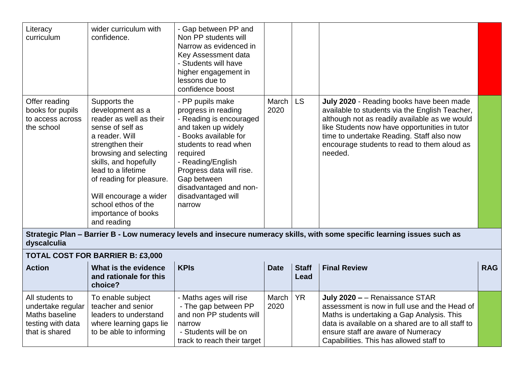| Literacy<br>curriculum                                              | wider curriculum with<br>confidence.                                                                                                                                                                                                                                                                              | - Gap between PP and<br>Non PP students will<br>Narrow as evidenced in<br>Key Assessment data<br>- Students will have<br>higher engagement in<br>lessons due to<br>confidence boost                                                                                               |               |     |                                                                                                                                                                                                                                                                                                     |  |
|---------------------------------------------------------------------|-------------------------------------------------------------------------------------------------------------------------------------------------------------------------------------------------------------------------------------------------------------------------------------------------------------------|-----------------------------------------------------------------------------------------------------------------------------------------------------------------------------------------------------------------------------------------------------------------------------------|---------------|-----|-----------------------------------------------------------------------------------------------------------------------------------------------------------------------------------------------------------------------------------------------------------------------------------------------------|--|
| Offer reading<br>books for pupils<br>to access across<br>the school | Supports the<br>development as a<br>reader as well as their<br>sense of self as<br>a reader. Will<br>strengthen their<br>browsing and selecting<br>skills, and hopefully<br>lead to a lifetime<br>of reading for pleasure.<br>Will encourage a wider<br>school ethos of the<br>importance of books<br>and reading | - PP pupils make<br>progress in reading<br>- Reading is encouraged<br>and taken up widely<br>- Books available for<br>students to read when<br>required<br>- Reading/English<br>Progress data will rise.<br>Gap between<br>disadvantaged and non-<br>disadvantaged will<br>narrow | March<br>2020 | LS. | July 2020 - Reading books have been made<br>available to students via the English Teacher,<br>although not as readily available as we would<br>like Students now have opportunities in tutor<br>time to undertake Reading. Staff also now<br>encourage students to read to them aloud as<br>needed. |  |

**Strategic Plan – Barrier B - Low numeracy levels and insecure numeracy skills, with some specific learning issues such as dyscalculia**

## **TOTAL COST FOR BARRIER B: £3,000**

| <b>Action</b>                                                                                 | What is the evidence<br>and rationale for this<br>choice?                                                              | <b>KPIS</b>                                                                                                                                  | <b>Date</b>        | <b>Staff</b><br>Lead | <b>Final Review</b>                                                                                                                                                                                                                                                | <b>RAG</b> |
|-----------------------------------------------------------------------------------------------|------------------------------------------------------------------------------------------------------------------------|----------------------------------------------------------------------------------------------------------------------------------------------|--------------------|----------------------|--------------------------------------------------------------------------------------------------------------------------------------------------------------------------------------------------------------------------------------------------------------------|------------|
| All students to<br>undertake regular<br>Maths baseline<br>testing with data<br>that is shared | To enable subject<br>teacher and senior<br>leaders to understand<br>where learning gaps lie<br>to be able to informing | - Maths ages will rise<br>- The gap between PP<br>and non PP students will<br>narrow<br>- Students will be on<br>track to reach their target | March   YR<br>2020 |                      | July 2020 - - Renaissance STAR<br>assessment is now in full use and the Head of<br>Maths is undertaking a Gap Analysis. This<br>data is available on a shared are to all staff to<br>ensure staff are aware of Numeracy<br>Capabilities. This has allowed staff to |            |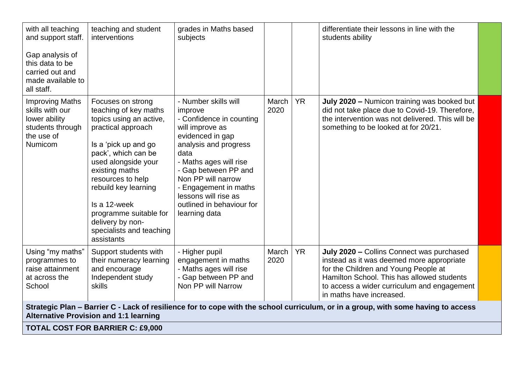| with all teaching<br>and support staff.<br>Gap analysis of<br>this data to be<br>carried out and<br>made available to<br>all staff. | teaching and student<br>interventions                                                                                                                                                                                                                                                                                                    | grades in Maths based<br>subjects                                                                                                                                                                                                                                                                          |               |           | differentiate their lessons in line with the<br>students ability                                                                                                                                                                                        |  |  |  |
|-------------------------------------------------------------------------------------------------------------------------------------|------------------------------------------------------------------------------------------------------------------------------------------------------------------------------------------------------------------------------------------------------------------------------------------------------------------------------------------|------------------------------------------------------------------------------------------------------------------------------------------------------------------------------------------------------------------------------------------------------------------------------------------------------------|---------------|-----------|---------------------------------------------------------------------------------------------------------------------------------------------------------------------------------------------------------------------------------------------------------|--|--|--|
| <b>Improving Maths</b><br>skills with our<br>lower ability<br>students through<br>the use of<br><b>Numicom</b>                      | Focuses on strong<br>teaching of key maths<br>topics using an active,<br>practical approach<br>Is a 'pick up and go<br>pack', which can be<br>used alongside your<br>existing maths<br>resources to help<br>rebuild key learning<br>Is a 12-week<br>programme suitable for<br>delivery by non-<br>specialists and teaching<br>assistants | - Number skills will<br>improve<br>- Confidence in counting<br>will improve as<br>evidenced in gap<br>analysis and progress<br>data<br>- Maths ages will rise<br>- Gap between PP and<br>Non PP will narrow<br>- Engagement in maths<br>lessons will rise as<br>outlined in behaviour for<br>learning data | March<br>2020 | <b>YR</b> | July 2020 - Numicon training was booked but<br>did not take place due to Covid-19. Therefore,<br>the intervention was not delivered. This will be<br>something to be looked at for 20/21.                                                               |  |  |  |
| Using "my maths"<br>programmes to<br>raise attainment<br>at across the<br>School                                                    | Support students with<br>their numeracy learning<br>and encourage<br>Independent study<br>skills                                                                                                                                                                                                                                         | - Higher pupil<br>engagement in maths<br>- Maths ages will rise<br>- Gap between PP and<br>Non PP will Narrow                                                                                                                                                                                              | March<br>2020 | <b>YR</b> | July 2020 - Collins Connect was purchased<br>instead as it was deemed more appropriate<br>for the Children and Young People at<br>Hamilton School. This has allowed students<br>to access a wider curriculum and engagement<br>in maths have increased. |  |  |  |
|                                                                                                                                     | Strategic Plan - Barrier C - Lack of resilience for to cope with the school curriculum, or in a group, with some having to access<br><b>Alternative Provision and 1:1 learning</b>                                                                                                                                                       |                                                                                                                                                                                                                                                                                                            |               |           |                                                                                                                                                                                                                                                         |  |  |  |
| <b>TOTAL COST FOR BARRIER C: £9,000</b>                                                                                             |                                                                                                                                                                                                                                                                                                                                          |                                                                                                                                                                                                                                                                                                            |               |           |                                                                                                                                                                                                                                                         |  |  |  |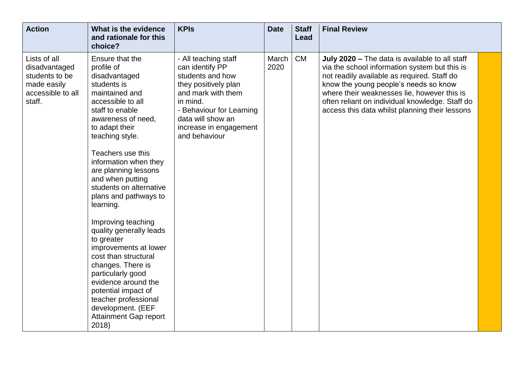| <b>Action</b>                                                                                 | What is the evidence<br>and rationale for this<br>choice?                                                                                                                                                                                                                                                                                                                                                                                                                                                                                                                                                                                   | <b>KPIs</b>                                                                                                                                                                                                       | <b>Date</b>   | <b>Staff</b><br>Lead | <b>Final Review</b>                                                                                                                                                                                                                                                                                                                         |
|-----------------------------------------------------------------------------------------------|---------------------------------------------------------------------------------------------------------------------------------------------------------------------------------------------------------------------------------------------------------------------------------------------------------------------------------------------------------------------------------------------------------------------------------------------------------------------------------------------------------------------------------------------------------------------------------------------------------------------------------------------|-------------------------------------------------------------------------------------------------------------------------------------------------------------------------------------------------------------------|---------------|----------------------|---------------------------------------------------------------------------------------------------------------------------------------------------------------------------------------------------------------------------------------------------------------------------------------------------------------------------------------------|
| Lists of all<br>disadvantaged<br>students to be<br>made easily<br>accessible to all<br>staff. | Ensure that the<br>profile of<br>disadvantaged<br>students is<br>maintained and<br>accessible to all<br>staff to enable<br>awareness of need,<br>to adapt their<br>teaching style.<br>Teachers use this<br>information when they<br>are planning lessons<br>and when putting<br>students on alternative<br>plans and pathways to<br>learning.<br>Improving teaching<br>quality generally leads<br>to greater<br>improvements at lower<br>cost than structural<br>changes. There is<br>particularly good<br>evidence around the<br>potential impact of<br>teacher professional<br>development. (EEF<br><b>Attainment Gap report</b><br>2018) | - All teaching staff<br>can identify PP<br>students and how<br>they positively plan<br>and mark with them<br>in mind.<br>- Behaviour for Learning<br>data will show an<br>increase in engagement<br>and behaviour | March<br>2020 | <b>CM</b>            | July 2020 – The data is available to all staff<br>via the school information system but this is<br>not readily available as required. Staff do<br>know the young people's needs so know<br>where their weaknesses lie, however this is<br>often reliant on individual knowledge. Staff do<br>access this data whilst planning their lessons |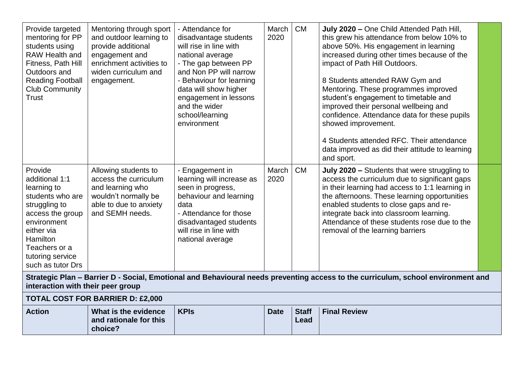| Provide targeted<br>mentoring for PP<br>students using<br><b>RAW Health and</b><br>Fitness, Path Hill<br>Outdoors and<br><b>Reading Football</b><br><b>Club Community</b><br>Trust                          | Mentoring through sport<br>and outdoor learning to<br>provide additional<br>engagement and<br>enrichment activities to<br>widen curriculum and<br>engagement. | - Attendance for<br>disadvantage students<br>will rise in line with<br>national average<br>- The gap between PP<br>and Non PP will narrow<br>- Behaviour for learning<br>data will show higher<br>engagement in lessons<br>and the wider<br>school/learning<br>environment | March<br>2020 | <b>CM</b>            | July 2020 - One Child Attended Path Hill,<br>this grew his attendance from below 10% to<br>above 50%. His engagement in learning<br>increased during other times because of the<br>impact of Path Hill Outdoors.<br>8 Students attended RAW Gym and<br>Mentoring. These programmes improved<br>student's engagement to timetable and<br>improved their personal wellbeing and<br>confidence. Attendance data for these pupils<br>showed improvement. |  |
|-------------------------------------------------------------------------------------------------------------------------------------------------------------------------------------------------------------|---------------------------------------------------------------------------------------------------------------------------------------------------------------|----------------------------------------------------------------------------------------------------------------------------------------------------------------------------------------------------------------------------------------------------------------------------|---------------|----------------------|------------------------------------------------------------------------------------------------------------------------------------------------------------------------------------------------------------------------------------------------------------------------------------------------------------------------------------------------------------------------------------------------------------------------------------------------------|--|
|                                                                                                                                                                                                             |                                                                                                                                                               |                                                                                                                                                                                                                                                                            |               |                      | 4 Students attended RFC. Their attendance<br>data improved as did their attitude to learning<br>and sport.                                                                                                                                                                                                                                                                                                                                           |  |
| Provide<br>additional 1:1<br>learning to<br>students who are<br>struggling to<br>access the group<br>environment<br>either via<br><b>Hamilton</b><br>Teachers or a<br>tutoring service<br>such as tutor Drs | Allowing students to<br>access the curriculum<br>and learning who<br>wouldn't normally be<br>able to due to anxiety<br>and SEMH needs.                        | - Engagement in<br>learning will increase as<br>seen in progress,<br>behaviour and learning<br>data<br>- Attendance for those<br>disadvantaged students<br>will rise in line with<br>national average                                                                      | March<br>2020 | <b>CM</b>            | July 2020 - Students that were struggling to<br>access the curriculum due to significant gaps<br>in their learning had access to 1:1 learning in<br>the afternoons. These learning opportunities<br>enabled students to close gaps and re-<br>integrate back into classroom learning.<br>Attendance of these students rose due to the<br>removal of the learning barriers                                                                            |  |
| Strategic Plan - Barrier D - Social, Emotional and Behavioural needs preventing access to the curriculum, school environment and<br>interaction with their peer group                                       |                                                                                                                                                               |                                                                                                                                                                                                                                                                            |               |                      |                                                                                                                                                                                                                                                                                                                                                                                                                                                      |  |
|                                                                                                                                                                                                             | <b>TOTAL COST FOR BARRIER D: £2,000</b>                                                                                                                       |                                                                                                                                                                                                                                                                            |               |                      |                                                                                                                                                                                                                                                                                                                                                                                                                                                      |  |
| <b>Action</b>                                                                                                                                                                                               | What is the evidence<br>and rationale for this<br>choice?                                                                                                     | <b>KPIs</b>                                                                                                                                                                                                                                                                | <b>Date</b>   | <b>Staff</b><br>Lead | <b>Final Review</b>                                                                                                                                                                                                                                                                                                                                                                                                                                  |  |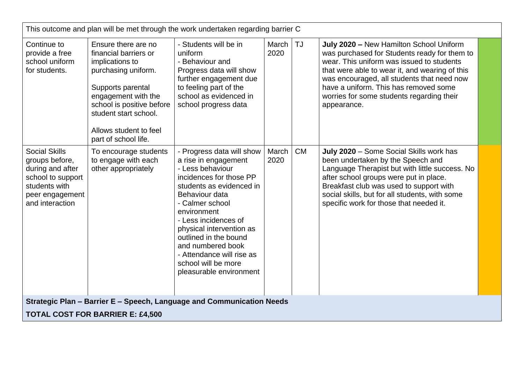| This outcome and plan will be met through the work undertaken regarding barrier C                                                      |                                                                                                                                                                                                                                            |                                                                                                                                                                                                                                                                                                                                                                   |               |           |                                                                                                                                                                                                                                                                                                                                           |  |  |
|----------------------------------------------------------------------------------------------------------------------------------------|--------------------------------------------------------------------------------------------------------------------------------------------------------------------------------------------------------------------------------------------|-------------------------------------------------------------------------------------------------------------------------------------------------------------------------------------------------------------------------------------------------------------------------------------------------------------------------------------------------------------------|---------------|-----------|-------------------------------------------------------------------------------------------------------------------------------------------------------------------------------------------------------------------------------------------------------------------------------------------------------------------------------------------|--|--|
| Continue to<br>provide a free<br>school uniform<br>for students.                                                                       | Ensure there are no<br>financial barriers or<br>implications to<br>purchasing uniform.<br>Supports parental<br>engagement with the<br>school is positive before<br>student start school.<br>Allows student to feel<br>part of school life. | - Students will be in<br>uniform<br>- Behaviour and<br>Progress data will show<br>further engagement due<br>to feeling part of the<br>school as evidenced in<br>school progress data                                                                                                                                                                              | March<br>2020 | <b>TJ</b> | July 2020 - New Hamilton School Uniform<br>was purchased for Students ready for them to<br>wear. This uniform was issued to students<br>that were able to wear it, and wearing of this<br>was encouraged, all students that need now<br>have a uniform. This has removed some<br>worries for some students regarding their<br>appearance. |  |  |
| <b>Social Skills</b><br>groups before,<br>during and after<br>school to support<br>students with<br>peer engagement<br>and interaction | To encourage students<br>to engage with each<br>other appropriately                                                                                                                                                                        | - Progress data will show<br>a rise in engagement<br>- Less behaviour<br>incidences for those PP<br>students as evidenced in<br>Behaviour data<br>- Calmer school<br>environment<br>- Less incidences of<br>physical intervention as<br>outlined in the bound<br>and numbered book<br>- Attendance will rise as<br>school will be more<br>pleasurable environment | March<br>2020 | <b>CM</b> | July 2020 - Some Social Skills work has<br>been undertaken by the Speech and<br>Language Therapist but with little success. No<br>after school groups were put in place.<br>Breakfast club was used to support with<br>social skills, but for all students, with some<br>specific work for those that needed it.                          |  |  |
|                                                                                                                                        |                                                                                                                                                                                                                                            | Strategic Plan - Barrier E - Speech, Language and Communication Needs                                                                                                                                                                                                                                                                                             |               |           |                                                                                                                                                                                                                                                                                                                                           |  |  |
|                                                                                                                                        | <b>TOTAL COST FOR BARRIER E: £4,500</b>                                                                                                                                                                                                    |                                                                                                                                                                                                                                                                                                                                                                   |               |           |                                                                                                                                                                                                                                                                                                                                           |  |  |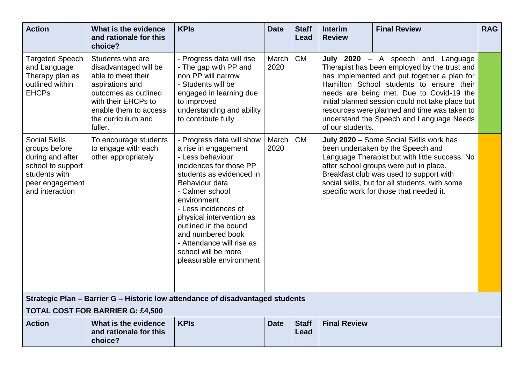| <b>Action</b>                                                                                                                          | What is the evidence<br>and rationale for this<br>choice?                                                                                                                                   | <b>KPIs</b>                                                                                                                                                                                                                                                                                                                                                       | <b>Date</b>   | <b>Staff</b><br>Lead | <b>Interim</b><br><b>Review</b> | <b>Final Review</b>                                                                                                                                                                                                                                                                                                                                                      | <b>RAG</b> |
|----------------------------------------------------------------------------------------------------------------------------------------|---------------------------------------------------------------------------------------------------------------------------------------------------------------------------------------------|-------------------------------------------------------------------------------------------------------------------------------------------------------------------------------------------------------------------------------------------------------------------------------------------------------------------------------------------------------------------|---------------|----------------------|---------------------------------|--------------------------------------------------------------------------------------------------------------------------------------------------------------------------------------------------------------------------------------------------------------------------------------------------------------------------------------------------------------------------|------------|
| <b>Targeted Speech</b><br>and Language<br>Therapy plan as<br>outlined within<br><b>EHCPs</b>                                           | Students who are<br>disadvantaged will be<br>able to meet their<br>aspirations and<br>outcomes as outlined<br>with their EHCPs to<br>enable them to access<br>the curriculum and<br>fuller. | - Progress data will rise<br>- The gap with PP and<br>non PP will narrow<br>- Students will be<br>engaged in learning due<br>to improved<br>understanding and ability<br>to contribute fully                                                                                                                                                                      | March<br>2020 | <b>CM</b>            | of our students.                | July 2020 - A speech and Language<br>Therapist has been employed by the trust and<br>has implemented and put together a plan for<br>Hamilton School students to ensure their<br>needs are being met. Due to Covid-19 the<br>initial planned session could not take place but<br>resources were planned and time was taken to<br>understand the Speech and Language Needs |            |
| <b>Social Skills</b><br>groups before,<br>during and after<br>school to support<br>students with<br>peer engagement<br>and interaction | To encourage students<br>to engage with each<br>other appropriately                                                                                                                         | - Progress data will show<br>a rise in engagement<br>- Less behaviour<br>incidences for those PP<br>students as evidenced in<br>Behaviour data<br>- Calmer school<br>environment<br>- Less incidences of<br>physical intervention as<br>outlined in the bound<br>and numbered book<br>- Attendance will rise as<br>school will be more<br>pleasurable environment | March<br>2020 | <b>CM</b>            |                                 | July 2020 - Some Social Skills work has<br>been undertaken by the Speech and<br>Language Therapist but with little success. No<br>after school groups were put in place.<br>Breakfast club was used to support with<br>social skills, but for all students, with some<br>specific work for those that needed it.                                                         |            |
|                                                                                                                                        |                                                                                                                                                                                             | Strategic Plan – Barrier G – Historic low attendance of disadvantaged students                                                                                                                                                                                                                                                                                    |               |                      |                                 |                                                                                                                                                                                                                                                                                                                                                                          |            |

## **TOTAL COST FOR BARRIER G: £4,500**

| <b>Action</b> | What is the evidence   | <b>KPIs</b> | <b>Date</b> | <b>Staff</b> | <b>Final Review</b> |
|---------------|------------------------|-------------|-------------|--------------|---------------------|
|               | and rationale for this |             |             | Lead         |                     |
|               | choice?                |             |             |              |                     |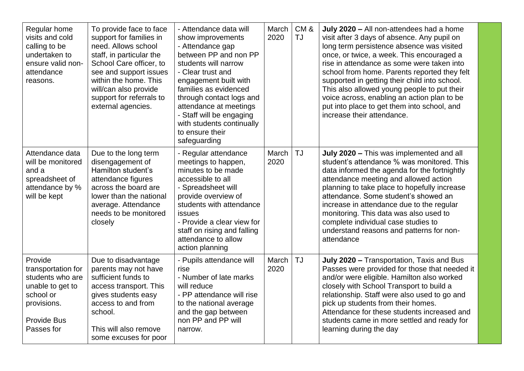| Regular home<br>visits and cold<br>calling to be<br>undertaken to<br>ensure valid non-<br>attendance<br>reasons.                      | To provide face to face<br>support for families in<br>need. Allows school<br>staff, in particular the<br>School Care officer, to<br>see and support issues<br>within the home. This<br>will/can also provide<br>support for referrals to<br>external agencies. | - Attendance data will<br>show improvements<br>- Attendance gap<br>between PP and non PP<br>students will narrow<br>- Clear trust and<br>engagement built with<br>families as evidenced<br>through contact logs and<br>attendance at meetings<br>- Staff will be engaging<br>with students continually<br>to ensure their<br>safeguarding | March<br>2020 | CM&<br><b>TJ</b> | July 2020 - All non-attendees had a home<br>visit after 3 days of absence. Any pupil on<br>long term persistence absence was visited<br>once, or twice, a week. This encouraged a<br>rise in attendance as some were taken into<br>school from home. Parents reported they felt<br>supported in getting their child into school.<br>This also allowed young people to put their<br>voice across, enabling an action plan to be<br>put into place to get them into school, and<br>increase their attendance. |  |
|---------------------------------------------------------------------------------------------------------------------------------------|----------------------------------------------------------------------------------------------------------------------------------------------------------------------------------------------------------------------------------------------------------------|-------------------------------------------------------------------------------------------------------------------------------------------------------------------------------------------------------------------------------------------------------------------------------------------------------------------------------------------|---------------|------------------|-------------------------------------------------------------------------------------------------------------------------------------------------------------------------------------------------------------------------------------------------------------------------------------------------------------------------------------------------------------------------------------------------------------------------------------------------------------------------------------------------------------|--|
| Attendance data<br>will be monitored<br>and a<br>spreadsheet of<br>attendance by %<br>will be kept                                    | Due to the long term<br>disengagement of<br>Hamilton student's<br>attendance figures<br>across the board are<br>lower than the national<br>average. Attendance<br>needs to be monitored<br>closely                                                             | - Regular attendance<br>meetings to happen,<br>minutes to be made<br>accessible to all<br>- Spreadsheet will<br>provide overview of<br>students with attendance<br>issues<br>- Provide a clear view for<br>staff on rising and falling<br>attendance to allow<br>action planning                                                          | March<br>2020 | <b>TJ</b>        | July 2020 - This was implemented and all<br>student's attendance % was monitored. This<br>data informed the agenda for the fortnightly<br>attendance meeting and allowed action<br>planning to take place to hopefully increase<br>attendance. Some student's showed an<br>increase in attendance due to the regular<br>monitoring. This data was also used to<br>complete individual case studies to<br>understand reasons and patterns for non-<br>attendance                                             |  |
| Provide<br>transportation for<br>students who are<br>unable to get to<br>school or<br>provisions.<br><b>Provide Bus</b><br>Passes for | Due to disadvantage<br>parents may not have<br>sufficient funds to<br>access transport. This<br>gives students easy<br>access to and from<br>school.<br>This will also remove<br>some excuses for poor                                                         | - Pupils attendance will<br>rise<br>- Number of late marks<br>will reduce<br>- PP attendance will rise<br>to the national average<br>and the gap between<br>non PP and PP will<br>narrow.                                                                                                                                                 | March<br>2020 | <b>TJ</b>        | July 2020 - Transportation, Taxis and Bus<br>Passes were provided for those that needed it<br>and/or were eligible. Hamilton also worked<br>closely with School Transport to build a<br>relationship. Staff were also used to go and<br>pick up students from their homes.<br>Attendance for these students increased and<br>students came in more settled and ready for<br>learning during the day                                                                                                         |  |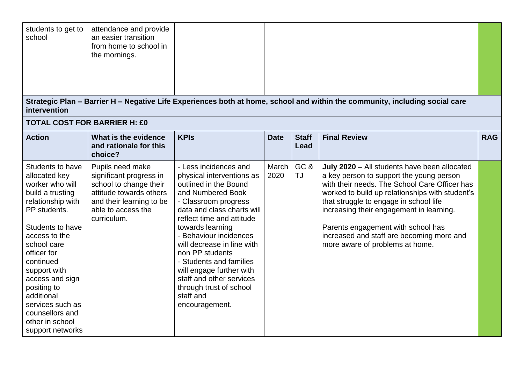| students to get to<br>school                                                                                                                                                                                                                                                                                                                | attendance and provide<br>an easier transition<br>from home to school in<br>the mornings.                                                                         |                                                                                                                                                                                                                                                                                                                                                                                                                                 |               |                      |                                                                                                                                                                                                                                                                                                                                                                                                          |            |
|---------------------------------------------------------------------------------------------------------------------------------------------------------------------------------------------------------------------------------------------------------------------------------------------------------------------------------------------|-------------------------------------------------------------------------------------------------------------------------------------------------------------------|---------------------------------------------------------------------------------------------------------------------------------------------------------------------------------------------------------------------------------------------------------------------------------------------------------------------------------------------------------------------------------------------------------------------------------|---------------|----------------------|----------------------------------------------------------------------------------------------------------------------------------------------------------------------------------------------------------------------------------------------------------------------------------------------------------------------------------------------------------------------------------------------------------|------------|
| intervention                                                                                                                                                                                                                                                                                                                                |                                                                                                                                                                   |                                                                                                                                                                                                                                                                                                                                                                                                                                 |               |                      | Strategic Plan - Barrier H - Negative Life Experiences both at home, school and within the community, including social care                                                                                                                                                                                                                                                                              |            |
| <b>TOTAL COST FOR BARRIER H: £0</b>                                                                                                                                                                                                                                                                                                         |                                                                                                                                                                   |                                                                                                                                                                                                                                                                                                                                                                                                                                 |               |                      |                                                                                                                                                                                                                                                                                                                                                                                                          |            |
| <b>Action</b>                                                                                                                                                                                                                                                                                                                               | What is the evidence<br>and rationale for this<br>choice?                                                                                                         | <b>KPIs</b>                                                                                                                                                                                                                                                                                                                                                                                                                     | <b>Date</b>   | <b>Staff</b><br>Lead | <b>Final Review</b>                                                                                                                                                                                                                                                                                                                                                                                      | <b>RAG</b> |
| Students to have<br>allocated key<br>worker who will<br>build a trusting<br>relationship with<br>PP students.<br>Students to have<br>access to the<br>school care<br>officer for<br>continued<br>support with<br>access and sign<br>positing to<br>additional<br>services such as<br>counsellors and<br>other in school<br>support networks | Pupils need make<br>significant progress in<br>school to change their<br>attitude towards others<br>and their learning to be<br>able to access the<br>curriculum. | - Less incidences and<br>physical interventions as<br>outlined in the Bound<br>and Numbered Book<br>- Classroom progress<br>data and class charts will<br>reflect time and attitude<br>towards learning<br>- Behaviour incidences<br>will decrease in line with<br>non PP students<br>- Students and families<br>will engage further with<br>staff and other services<br>through trust of school<br>staff and<br>encouragement. | March<br>2020 | GC&<br><b>TJ</b>     | July 2020 - All students have been allocated<br>a key person to support the young person<br>with their needs. The School Care Officer has<br>worked to build up relationships with student's<br>that struggle to engage in school life<br>increasing their engagement in learning.<br>Parents engagement with school has<br>increased and staff are becoming more and<br>more aware of problems at home. |            |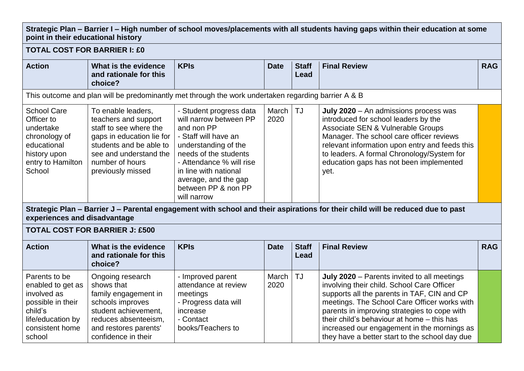#### **Strategic Plan – Barrier I – High number of school moves/placements with all students having gaps within their education at some point in their educational history**

**TOTAL COST FOR BARRIER I: £0**

| <b>Action</b>                                                                                                                                                                                                                                                                                                     | What is the evidence<br>and rationale for this<br>choice?                                                                                                                                      | <b>KPIs</b>                                                                                                                                                                                                                                                 | <b>Date</b>   | <b>Staff</b><br>Lead | <b>Final Review</b>                                                                                                                                                                                                                                                                                                                                                                     | <b>RAG</b> |
|-------------------------------------------------------------------------------------------------------------------------------------------------------------------------------------------------------------------------------------------------------------------------------------------------------------------|------------------------------------------------------------------------------------------------------------------------------------------------------------------------------------------------|-------------------------------------------------------------------------------------------------------------------------------------------------------------------------------------------------------------------------------------------------------------|---------------|----------------------|-----------------------------------------------------------------------------------------------------------------------------------------------------------------------------------------------------------------------------------------------------------------------------------------------------------------------------------------------------------------------------------------|------------|
|                                                                                                                                                                                                                                                                                                                   |                                                                                                                                                                                                | This outcome and plan will be predominantly met through the work undertaken regarding barrier A & B                                                                                                                                                         |               |                      |                                                                                                                                                                                                                                                                                                                                                                                         |            |
| <b>School Care</b><br>Officer to<br>undertake<br>chronology of<br>educational<br>history upon<br>entry to Hamilton<br>School                                                                                                                                                                                      | To enable leaders,<br>teachers and support<br>staff to see where the<br>gaps in education lie for<br>students and be able to<br>see and understand the<br>number of hours<br>previously missed | - Student progress data<br>will narrow between PP<br>and non PP<br>- Staff will have an<br>understanding of the<br>needs of the students<br>- Attendance % will rise<br>in line with national<br>average, and the gap<br>between PP & non PP<br>will narrow | March<br>2020 | <b>TJ</b>            | July 2020 - An admissions process was<br>introduced for school leaders by the<br>Associate SEN & Vulnerable Groups<br>Manager. The school care officer reviews<br>relevant information upon entry and feeds this<br>to leaders. A formal Chronology/System for<br>education gaps has not been implemented<br>yet.                                                                       |            |
| experiences and disadvantage                                                                                                                                                                                                                                                                                      |                                                                                                                                                                                                |                                                                                                                                                                                                                                                             |               |                      | Strategic Plan – Barrier J – Parental engagement with school and their aspirations for their child will be reduced due to past                                                                                                                                                                                                                                                          |            |
|                                                                                                                                                                                                                                                                                                                   | <b>TOTAL COST FOR BARRIER J: £500</b>                                                                                                                                                          |                                                                                                                                                                                                                                                             |               |                      |                                                                                                                                                                                                                                                                                                                                                                                         |            |
| <b>Action</b>                                                                                                                                                                                                                                                                                                     | What is the evidence<br>and rationale for this<br>choice?                                                                                                                                      | <b>KPIs</b>                                                                                                                                                                                                                                                 | <b>Date</b>   | <b>Staff</b><br>Lead | <b>Final Review</b>                                                                                                                                                                                                                                                                                                                                                                     | <b>RAG</b> |
| Parents to be<br>Ongoing research<br>shows that<br>enabled to get as<br>involved as<br>family engagement in<br>schools improves<br>possible in their<br>child's<br>student achievement,<br>life/education by<br>reduces absenteeism,<br>consistent home<br>and restores parents'<br>confidence in their<br>school |                                                                                                                                                                                                | - Improved parent<br>attendance at review<br>meetings<br>- Progress data will<br>increase<br>- Contact<br>books/Teachers to                                                                                                                                 | March<br>2020 | <b>TJ</b>            | July 2020 - Parents invited to all meetings<br>involving their child. School Care Officer<br>supports all the parents in TAF, CIN and CP<br>meetings. The School Care Officer works with<br>parents in improving strategies to cope with<br>their child's behaviour at home - this has<br>increased our engagement in the mornings as<br>they have a better start to the school day due |            |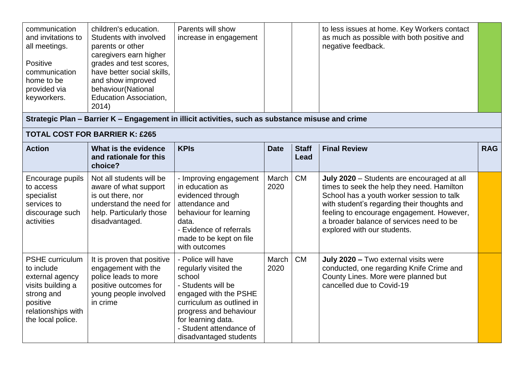| communication<br>and invitations to<br>all meetings.<br>Positive<br>communication<br>home to be<br>provided via<br>keyworkers.                    | children's education.<br>Students with involved<br>parents or other<br>caregivers earn higher<br>grades and test scores,<br>have better social skills,<br>and show improved<br>behaviour(National<br><b>Education Association,</b><br>2014) | Parents will show<br>increase in engagement                                                                                                                                                                                            |               |                             | to less issues at home. Key Workers contact<br>as much as possible with both positive and<br>negative feedback.                                                                                                                                                                                              |            |
|---------------------------------------------------------------------------------------------------------------------------------------------------|---------------------------------------------------------------------------------------------------------------------------------------------------------------------------------------------------------------------------------------------|----------------------------------------------------------------------------------------------------------------------------------------------------------------------------------------------------------------------------------------|---------------|-----------------------------|--------------------------------------------------------------------------------------------------------------------------------------------------------------------------------------------------------------------------------------------------------------------------------------------------------------|------------|
|                                                                                                                                                   |                                                                                                                                                                                                                                             | Strategic Plan - Barrier K - Engagement in illicit activities, such as substance misuse and crime                                                                                                                                      |               |                             |                                                                                                                                                                                                                                                                                                              |            |
|                                                                                                                                                   | <b>TOTAL COST FOR BARRIER K: £265</b>                                                                                                                                                                                                       |                                                                                                                                                                                                                                        |               |                             |                                                                                                                                                                                                                                                                                                              |            |
| <b>Action</b>                                                                                                                                     | What is the evidence<br>and rationale for this<br>choice?                                                                                                                                                                                   | <b>KPIs</b>                                                                                                                                                                                                                            | <b>Date</b>   | <b>Staff</b><br><b>Lead</b> | <b>Final Review</b>                                                                                                                                                                                                                                                                                          | <b>RAG</b> |
| Encourage pupils<br>to access<br>specialist<br>services to<br>discourage such<br>activities                                                       | Not all students will be<br>aware of what support<br>is out there, nor<br>understand the need for<br>help. Particularly those<br>disadvantaged.                                                                                             | - Improving engagement<br>in education as<br>evidenced through<br>attendance and<br>behaviour for learning<br>data.<br>- Evidence of referrals<br>made to be kept on file<br>with outcomes                                             | March<br>2020 | <b>CM</b>                   | July 2020 - Students are encouraged at all<br>times to seek the help they need. Hamilton<br>School has a youth worker session to talk<br>with student's regarding their thoughts and<br>feeling to encourage engagement. However,<br>a broader balance of services need to be<br>explored with our students. |            |
| <b>PSHE</b> curriculum<br>to include<br>external agency<br>visits building a<br>strong and<br>positive<br>relationships with<br>the local police. | It is proven that positive<br>engagement with the<br>police leads to more<br>positive outcomes for<br>young people involved<br>in crime                                                                                                     | - Police will have<br>regularly visited the<br>school<br>- Students will be<br>engaged with the PSHE<br>curriculum as outlined in<br>progress and behaviour<br>for learning data.<br>- Student attendance of<br>disadvantaged students | March<br>2020 | <b>CM</b>                   | July 2020 - Two external visits were<br>conducted, one regarding Knife Crime and<br>County Lines. More were planned but<br>cancelled due to Covid-19                                                                                                                                                         |            |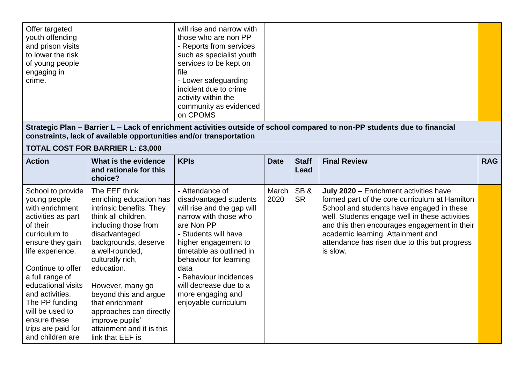| Offer targeted<br>youth offending<br>and prison visits<br>to lower the risk<br>of young people<br>engaging in<br>crime. | will rise and narrow with<br>those who are non PP<br>- Reports from services<br>such as specialist youth<br>services to be kept on<br>file<br>- Lower safeguarding<br>incident due to crime<br>activity within the<br>community as evidenced |  |  |  |
|-------------------------------------------------------------------------------------------------------------------------|----------------------------------------------------------------------------------------------------------------------------------------------------------------------------------------------------------------------------------------------|--|--|--|
|                                                                                                                         | on CPOMS                                                                                                                                                                                                                                     |  |  |  |

**Strategic Plan – Barrier L – Lack of enrichment activities outside of school compared to non-PP students due to financial constraints, lack of available opportunities and/or transportation**

### **TOTAL COST FOR BARRIER L: £3,000**

| <b>Action</b>                                                                                                                                                                                                                                                                                                                   | What is the evidence<br>and rationale for this<br>choice?                                                                                                                                                                                                                                                                                                                        | <b>KPIs</b>                                                                                                                                                                                                                                                                                                                   | <b>Date</b>   | <b>Staff</b><br>Lead | <b>Final Review</b>                                                                                                                                                                                                                                                                                                                       | <b>RAG</b> |
|---------------------------------------------------------------------------------------------------------------------------------------------------------------------------------------------------------------------------------------------------------------------------------------------------------------------------------|----------------------------------------------------------------------------------------------------------------------------------------------------------------------------------------------------------------------------------------------------------------------------------------------------------------------------------------------------------------------------------|-------------------------------------------------------------------------------------------------------------------------------------------------------------------------------------------------------------------------------------------------------------------------------------------------------------------------------|---------------|----------------------|-------------------------------------------------------------------------------------------------------------------------------------------------------------------------------------------------------------------------------------------------------------------------------------------------------------------------------------------|------------|
| School to provide<br>young people<br>with enrichment<br>activities as part<br>of their<br>curriculum to<br>ensure they gain<br>life experience.<br>Continue to offer<br>a full range of<br>educational visits<br>and activities.<br>The PP funding<br>will be used to<br>ensure these<br>trips are paid for<br>and children are | The EEF think<br>enriching education has<br>intrinsic benefits. They<br>think all children,<br>including those from<br>disadvantaged<br>backgrounds, deserve<br>a well-rounded,<br>culturally rich,<br>education.<br>However, many go<br>beyond this and argue<br>that enrichment<br>approaches can directly<br>improve pupils'<br>attainment and it is this<br>link that EEF is | - Attendance of<br>disadvantaged students<br>will rise and the gap will<br>narrow with those who<br>are Non PP<br>- Students will have<br>higher engagement to<br>timetable as outlined in<br>behaviour for learning<br>data<br>- Behaviour incidences<br>will decrease due to a<br>more engaging and<br>enjoyable curriculum | March<br>2020 | SB&<br><b>SR</b>     | July 2020 - Enrichment activities have<br>formed part of the core curriculum at Hamilton<br>School and students have engaged in these<br>well. Students engage well in these activities<br>and this then encourages engagement in their<br>academic learning. Attainment and<br>attendance has risen due to this but progress<br>is slow. |            |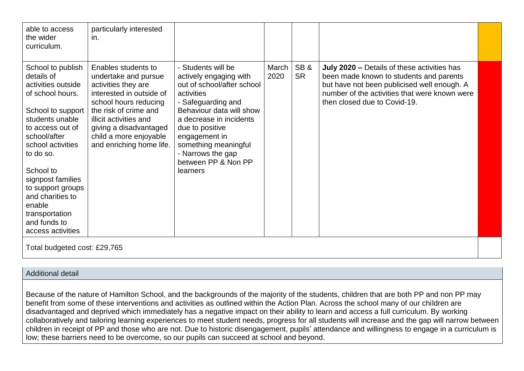| able to access<br>the wider<br>curriculum.                                                                                                                                                                                                                                                                                          | particularly interested<br>in.                                                                                                                                                                                                                             |                                                                                                                                                                                                                                                                                           |               |                  |                                                                                                                                                                                                                        |  |  |  |  |  |
|-------------------------------------------------------------------------------------------------------------------------------------------------------------------------------------------------------------------------------------------------------------------------------------------------------------------------------------|------------------------------------------------------------------------------------------------------------------------------------------------------------------------------------------------------------------------------------------------------------|-------------------------------------------------------------------------------------------------------------------------------------------------------------------------------------------------------------------------------------------------------------------------------------------|---------------|------------------|------------------------------------------------------------------------------------------------------------------------------------------------------------------------------------------------------------------------|--|--|--|--|--|
| School to publish<br>details of<br>activities outside<br>of school hours.<br>School to support<br>students unable<br>to access out of<br>school/after<br>school activities<br>to do so.<br>School to<br>signpost families<br>to support groups<br>and charities to<br>enable<br>transportation<br>and funds to<br>access activities | Enables students to<br>undertake and pursue<br>activities they are<br>interested in outside of<br>school hours reducing<br>the risk of crime and<br>illicit activities and<br>giving a disadvantaged<br>child a more enjoyable<br>and enriching home life. | - Students will be<br>actively engaging with<br>out of school/after school<br>activities<br>- Safeguarding and<br>Behaviour data will show<br>a decrease in incidents<br>due to positive<br>engagement in<br>something meaningful<br>- Narrows the gap<br>between PP & Non PP<br>learners | March<br>2020 | SB&<br><b>SR</b> | July 2020 - Details of these activities has<br>been made known to students and parents<br>but have not been publicised well enough. A<br>number of the activities that were known were<br>then closed due to Covid-19. |  |  |  |  |  |
|                                                                                                                                                                                                                                                                                                                                     | Total budgeted cost: £29,765                                                                                                                                                                                                                               |                                                                                                                                                                                                                                                                                           |               |                  |                                                                                                                                                                                                                        |  |  |  |  |  |

#### Additional detail

Because of the nature of Hamilton School, and the backgrounds of the majority of the students, children that are both PP and non PP may benefit from some of these interventions and activities as outlined within the Action Plan. Across the school many of our children are disadvantaged and deprived which immediately has a negative impact on their ability to learn and access a full curriculum. By working collaboratively and tailoring learning experiences to meet student needs, progress for all students will increase and the gap will narrow between children in receipt of PP and those who are not. Due to historic disengagement, pupils' attendance and willingness to engage in a curriculum is low; these barriers need to be overcome, so our pupils can succeed at school and beyond.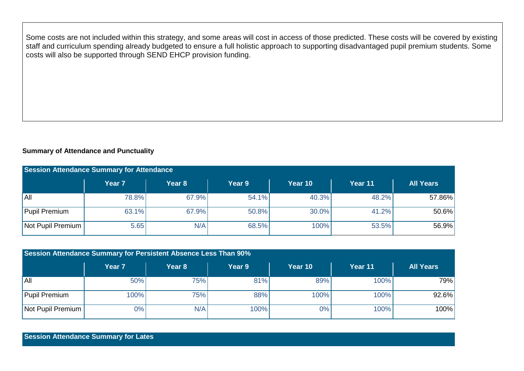Some costs are not included within this strategy, and some areas will cost in access of those predicted. These costs will be covered by existing staff and curriculum spending already budgeted to ensure a full holistic approach to supporting disadvantaged pupil premium students. Some costs will also be supported through SEND EHCP provision funding.

#### **Summary of Attendance and Punctuality**

| <b>Session Attendance Summary for Attendance</b> |                   |                   |        |         |         |                  |  |  |  |  |
|--------------------------------------------------|-------------------|-------------------|--------|---------|---------|------------------|--|--|--|--|
|                                                  | Year <sub>7</sub> | Year <sub>8</sub> | Year 9 | Year 10 | Year 11 | <b>All Years</b> |  |  |  |  |
| IAII                                             | 78.8%             | 67.9%             | 54.1%  | 40.3%   | 48.2%   | 57.86%           |  |  |  |  |
| Pupil Premium                                    | 63.1%             | 67.9%             | 50.8%  | 30.0%   | 41.2%   | $50.6\%$         |  |  |  |  |
| Not Pupil Premium                                | 5.65              | N/A               | 68.5%  | 100%    | 53.5%   | 56.9%            |  |  |  |  |

| Session Attendance Summary for Persistent Absence Less Than 90% |                   |        |        |         |         |                  |  |  |  |  |
|-----------------------------------------------------------------|-------------------|--------|--------|---------|---------|------------------|--|--|--|--|
|                                                                 | Year <sub>7</sub> | Year 8 | Year 9 | Year 10 | Year 11 | <b>All Years</b> |  |  |  |  |
| IAII                                                            | 50%               | 75%    | 81%    | 89%     | 100%    | 79%              |  |  |  |  |
| Pupil Premium                                                   | 100%              | 75%    | 88%    | 100%    | 100%    | $92.6\%$         |  |  |  |  |
| Not Pupil Premium                                               | $0\%$             | N/A    | 100%   | 0%      | 100%    | 100%             |  |  |  |  |